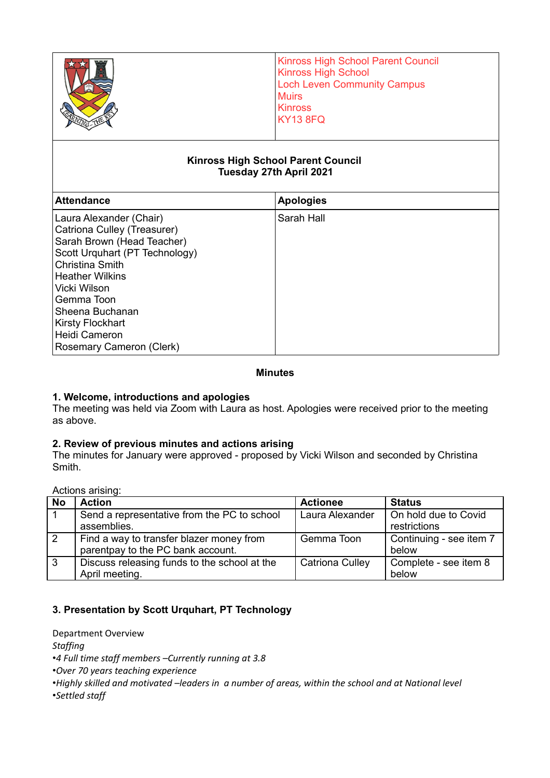|                                                                                                                                                                                            | <b>Kinross High School Parent Council</b><br><b>Kinross High School</b><br><b>Loch Leven Community Campus</b><br><b>Muirs</b><br><b>Kinross</b><br><b>KY13 8FQ</b> |  |  |  |
|--------------------------------------------------------------------------------------------------------------------------------------------------------------------------------------------|--------------------------------------------------------------------------------------------------------------------------------------------------------------------|--|--|--|
| <b>Kinross High School Parent Council</b><br>Tuesday 27th April 2021<br><b>Attendance</b><br><b>Apologies</b>                                                                              |                                                                                                                                                                    |  |  |  |
| Laura Alexander (Chair)<br>Catriona Culley (Treasurer)<br>Sarah Brown (Head Teacher)<br>Scott Urquhart (PT Technology)<br><b>Christina Smith</b><br><b>Heather Wilkins</b><br>Vicki Wilson | Sarah Hall                                                                                                                                                         |  |  |  |

# **1. Welcome, introductions and apologies**

The meeting was held via Zoom with Laura as host. Apologies were received prior to the meeting as above.

**Minutes**

#### **2. Review of previous minutes and actions arising**

The minutes for January were approved - proposed by Vicki Wilson and seconded by Christina Smith.

Actions arising:

Gemma Toon Sheena Buchanan Kirsty Flockhart Heidi Cameron

Rosemary Cameron (Clerk)

| <b>No</b>    | <b>Action</b>                                | <b>Actionee</b>        | <b>Status</b>           |
|--------------|----------------------------------------------|------------------------|-------------------------|
|              | Send a representative from the PC to school  | Laura Alexander        | On hold due to Covid    |
|              | assemblies.                                  |                        | restrictions            |
| 2            | Find a way to transfer blazer money from     | Gemma Toon             | Continuing - see item 7 |
|              | parentpay to the PC bank account.            |                        | below                   |
| $\mathbf{3}$ | Discuss releasing funds to the school at the | <b>Catriona Culley</b> | Complete - see item 8   |
|              | April meeting.                               |                        | below                   |

#### **3. Presentation by Scott Urquhart, PT Technology**

Department Overview

*Staffing*

•*4 Full time staff members –Currently running at 3.8*

•*Over 70 years teaching experience* 

•*Highly skilled and motivated –leaders in a number of areas, within the school and at National level*

•*Settled staff*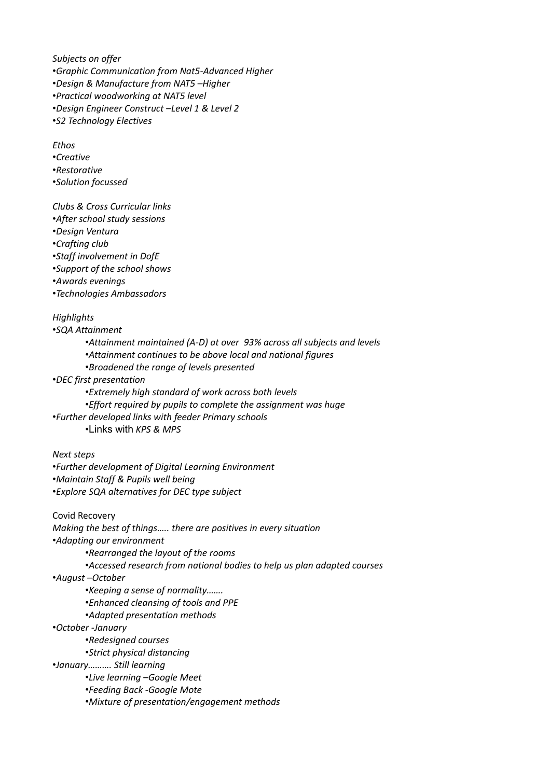*Subjects on offer* •*Graphic Communication from Nat5-Advanced Higher* •*Design & Manufacture from NAT5 –Higher* •*Practical woodworking at NAT5 level* •*Design Engineer Construct –Level 1 & Level 2* •*S2 Technology Electives*

*Ethos* •*Creative* •*Restorative*

•*Solution focussed*

*Clubs & Cross Curricular links*

•*After school study sessions*

•*Design Ventura* 

•*Crafting club*

•*Staff involvement in DofE*

•*Support of the school shows*

•*Awards evenings*

•*Technologies Ambassadors*

*Highlights*

•*SQA Attainment*

•*Attainment maintained (A-D) at over 93% across all subjects and levels*

•*Attainment continues to be above local and national figures*

•*Broadened the range of levels presented*

•*DEC first presentation* 

•*Extremely high standard of work across both levels*

•*Effort required by pupils to complete the assignment was huge*

•*Further developed links with feeder Primary schools*

•Links with *KPS & MPS*

*Next steps*

•*Further development of Digital Learning Environment* •*Maintain Staff & Pupils well being* •*Explore SQA alternatives for DEC type subject*

Covid Recovery *Making the best of things….. there are positives in every situation* •*Adapting our environment* •*Rearranged the layout of the rooms* •*Accessed research from national bodies to help us plan adapted courses* •*August –October* •*Keeping a sense of normality…….* •*Enhanced cleansing of tools and PPE* •*Adapted presentation methods* •*October -January* •*Redesigned courses* •*Strict physical distancing* •*January………. Still learning*  •*Live learning –Google Meet* •*Feeding Back -Google Mote* •*Mixture of presentation/engagement methods*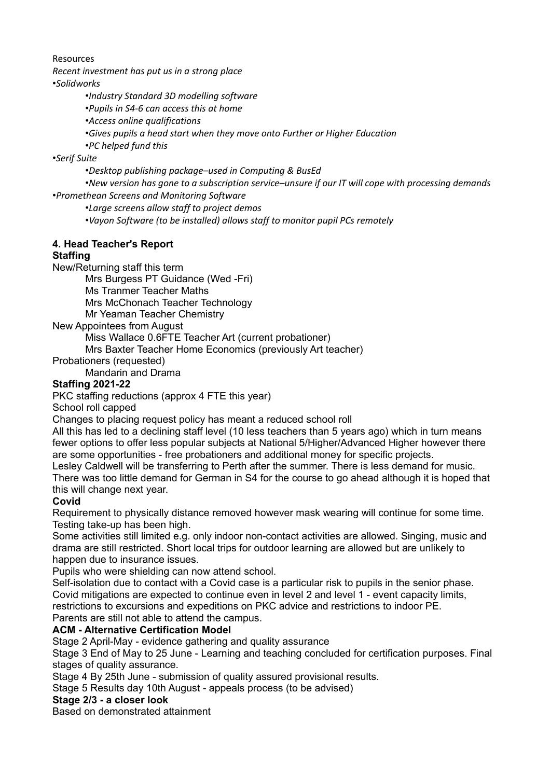#### Resources

*Recent investment has put us in a strong place*

•*Solidworks*

•*Industry Standard 3D modelling software*

•*Pupils in S4-6 can access this at home*

•*Access online qualifications*

•*Gives pupils a head start when they move onto Further or Higher Education*

•*PC helped fund this*

•*Serif Suite*

•*Desktop publishing package–used in Computing & BusEd*

•*New version has gone to a subscription service–unsure if our IT will cope with processing demands* •*Promethean Screens and Monitoring Software*

•*Large screens allow staff to project demos*

•*Vayon Software (to be installed) allows staff to monitor pupil PCs remotely*

# **4. Head Teacher's Report**

#### **Staffing**

New/Returning staff this term

Mrs Burgess PT Guidance (Wed -Fri)

Ms Tranmer Teacher Maths

Mrs McChonach Teacher Technology

Mr Yeaman Teacher Chemistry

New Appointees from August

Miss Wallace 0.6FTE Teacher Art (current probationer)

Mrs Baxter Teacher Home Economics (previously Art teacher)

Probationers (requested)

Mandarin and Drama

#### **Staffing 2021-22**

PKC staffing reductions (approx 4 FTE this year)

School roll capped

Changes to placing request policy has meant a reduced school roll

All this has led to a declining staff level (10 less teachers than 5 years ago) which in turn means fewer options to offer less popular subjects at National 5/Higher/Advanced Higher however there are some opportunities - free probationers and additional money for specific projects.

Lesley Caldwell will be transferring to Perth after the summer. There is less demand for music. There was too little demand for German in S4 for the course to go ahead although it is hoped that this will change next year.

# **Covid**

Requirement to physically distance removed however mask wearing will continue for some time. Testing take-up has been high.

Some activities still limited e.g. only indoor non-contact activities are allowed. Singing, music and drama are still restricted. Short local trips for outdoor learning are allowed but are unlikely to happen due to insurance issues.

Pupils who were shielding can now attend school.

Self-isolation due to contact with a Covid case is a particular risk to pupils in the senior phase. Covid mitigations are expected to continue even in level 2 and level 1 - event capacity limits, restrictions to excursions and expeditions on PKC advice and restrictions to indoor PE.

Parents are still not able to attend the campus.

# **ACM - Alternative Certification Model**

Stage 2 April-May - evidence gathering and quality assurance

Stage 3 End of May to 25 June - Learning and teaching concluded for certification purposes. Final stages of quality assurance.

Stage 4 By 25th June - submission of quality assured provisional results.

Stage 5 Results day 10th August - appeals process (to be advised)

**Stage 2/3 - a closer look**

Based on demonstrated attainment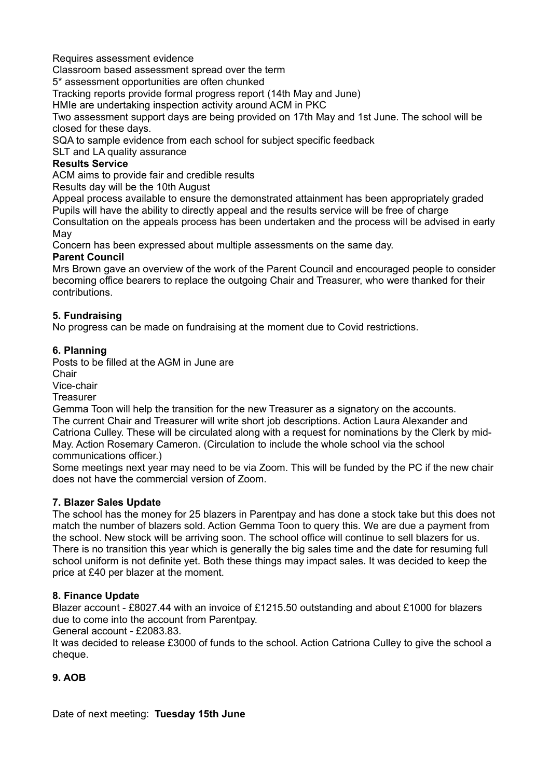Requires assessment evidence

Classroom based assessment spread over the term

5\* assessment opportunities are often chunked

Tracking reports provide formal progress report (14th May and June)

HMIe are undertaking inspection activity around ACM in PKC

Two assessment support days are being provided on 17th May and 1st June. The school will be closed for these days.

SQA to sample evidence from each school for subject specific feedback

SLT and LA quality assurance

#### **Results Service**

ACM aims to provide fair and credible results

Results day will be the 10th August

Appeal process available to ensure the demonstrated attainment has been appropriately graded Pupils will have the ability to directly appeal and the results service will be free of charge Consultation on the appeals process has been undertaken and the process will be advised in early May

Concern has been expressed about multiple assessments on the same day.

#### **Parent Council**

Mrs Brown gave an overview of the work of the Parent Council and encouraged people to consider becoming office bearers to replace the outgoing Chair and Treasurer, who were thanked for their contributions.

#### **5. Fundraising**

No progress can be made on fundraising at the moment due to Covid restrictions.

# **6. Planning**

Posts to be filled at the AGM in June are

Chair

Vice-chair

**Treasurer** 

Gemma Toon will help the transition for the new Treasurer as a signatory on the accounts. The current Chair and Treasurer will write short job descriptions. Action Laura Alexander and Catriona Culley. These will be circulated along with a request for nominations by the Clerk by mid-May. Action Rosemary Cameron. (Circulation to include the whole school via the school communications officer.)

Some meetings next year may need to be via Zoom. This will be funded by the PC if the new chair does not have the commercial version of Zoom.

#### **7. Blazer Sales Update**

The school has the money for 25 blazers in Parentpay and has done a stock take but this does not match the number of blazers sold. Action Gemma Toon to query this. We are due a payment from the school. New stock will be arriving soon. The school office will continue to sell blazers for us. There is no transition this year which is generally the big sales time and the date for resuming full school uniform is not definite yet. Both these things may impact sales. It was decided to keep the price at £40 per blazer at the moment.

#### **8. Finance Update**

Blazer account - £8027.44 with an invoice of £1215.50 outstanding and about £1000 for blazers due to come into the account from Parentpay.

General account - £2083.83.

It was decided to release £3000 of funds to the school. Action Catriona Culley to give the school a cheque.

# **9. AOB**

Date of next meeting: **Tuesday 15th June**